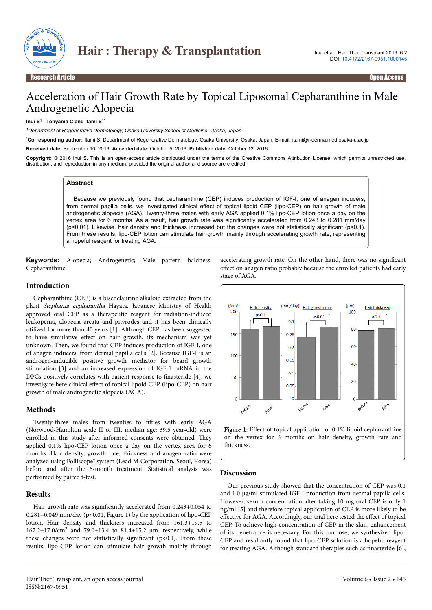

# Acceleration of Hair Growth Rate by Topical Liposomal Cepharanthine in Male Androgenetic Alopecia

**Inui S**<sup>1</sup> , **Tohyama C and Itami S**1\*

*<sup>1</sup>Department of Regenerative Dermatology, Osaka University School of Medicine, Osaka, Japan*

\***Corresponding author:** Itami S, Department of Regenerative Dermatology, Osaka University, Osaka, Japan; E-mail: itami@r-derma.med.osaka-u.ac.jp

**Received date:** September 10, 2016; **Accepted date:** October 5, 2016; **Published date:** October 13, 2016

**Copyright:** © 2016 Inui S. This is an open-access article distributed under the terms of the Creative Commons Attribution License, which permits unrestricted use, distribution, and reproduction in any medium, provided the original author and source are credited.

#### **Abstract**

Because we previously found that cepharanthine (CEP) induces production of IGF-I, one of anagen inducers, from dermal papilla cells, we investigated clinical effect of topical lipoid CEP (lipo-CEP) on hair growth of male androgenetic alopecia (AGA). Twenty-three males with early AGA applied 0.1% lipo-CEP lotion once a day on the vertex area for 6 months. As a result, hair growth rate was significantly accelerated from 0.243 to 0.281 mm/day (p<0.01). Likewise, hair density and thickness increased but the changes were not statistically significant (p<0.1). From these results, lipo-CEP lotion can stimulate hair growth mainly through accelerating growth rate, representing a hopeful reagent for treating AGA.

**Keywords:** Alopecia; Androgenetic; Male pattern baldness; Cepharanthine

#### **Introduction**

Cepharanthine (CEP) is a biscoclaurine alkaloid extracted from the plant Stephania cepharantha Hayata. Japanese Ministry of Health approved oral CEP as a therapeutic reagent for radiation-induced leukopenia, alopecia areata and pityrodes and it has been clinically utilized for more than 40 years [1]. Although CEP has been suggested to have simulative effect on hair growth, its mechanism was yet unknown. Then, we found that CEP induces production of IGF-I, one of anagen inducers, from dermal papilla cells [2]. Because IGF-I is an androgen-inducible positive growth mediator for beard growth stimulation [3] and an increased expression of IGF-1 mRNA in the DPCs positively correlates with patient response to finasteride  $[4]$ , we investigate here clinical effect of topical lipoid CEP (lipo-CEP) on hair growth of male androgenetic alopecia (AGA).

## **Methods**

Twenty-three males from twenties to fifties with early AGA (Norwood-Hamilton scale II or III, median age: 39.5 year-old) were enrolled in this study after informed consents were obtained. They applied 0.1% lipo-CEP lotion once a day on the vertex area for 6 months. Hair density, growth rate, thickness and anagen ratio were analyzed using Folliscope® system (Lead M Corporation, Seoul, Korea) before and after the 6-month treatment. Statistical analysis was performed by paired t-test.

## **Results**

Hair growth rate was significantly accelerated from  $0.243+0.054$  to 0.281+0.049 mm/day (p<0.01, Figure 1) by the application of lipo-CEP lotion. Hair density and thickness increased from 161.3+19.5 to 167.2+17.0/cm<sup>2</sup> and 79.0+13.4 to 81.4+15.2 µm, respectively, while these changes were not statistically significant ( $p$ <0.1). From these results, lipo-CEP lotion can stimulate hair growth mainly through accelerating growth rate. On the other hand, there was no significant effect on anagen ratio probably because the enrolled patients had early stage of AGA.



Figure 1: Effect of topical application of 0.1% lipoid cepharanthine on the vertex for 6 months on hair density, growth rate and thickness.

## **Discussion**

Our previous study showed that the concentration of CEP was 0.1 and 1.0 µg/ml stimulated IGF-I production from dermal papilla cells. However, serum concentration after taking 10 mg oral CEP is only 1 ng/ml [5] and therefore topical application of CEP is more likely to be effective for AGA. Accordingly, our trial here tested the effect of topical CEP. To achieve high concentration of CEP in the skin, enhancement of its penetrance is necessary. For this purpose, we synthesized lipo-CEP and resultantly found that lipo-CEP solution is a hopeful reagent for treating AGA. Although standard therapies such as finasteride  $[6]$ ,